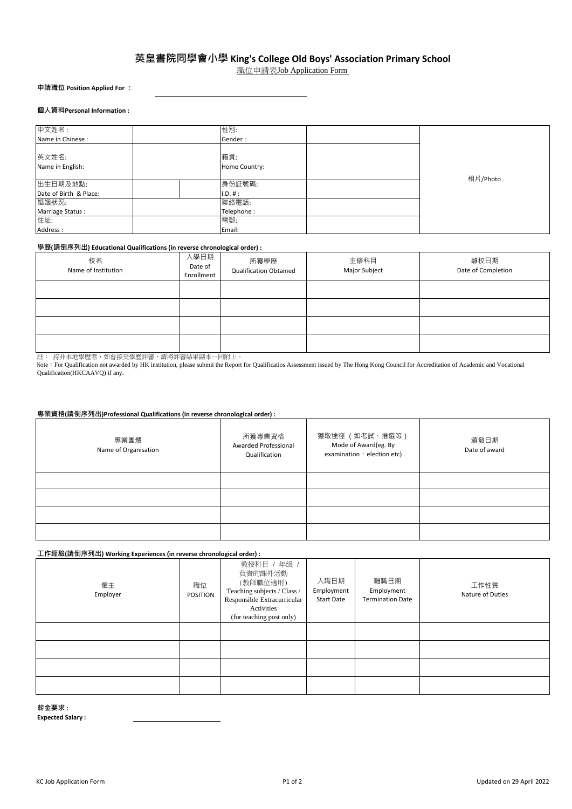# **英皇書院同學會小學 King's College Old Boys' Association Primary School**

職位申請表Job Application Form

**申請職位 Position Applied For :**

#### **個人資料Personal Information :**

| 中文姓名:                  | 性別:           |          |
|------------------------|---------------|----------|
| Name in Chinese :      | Gender:       |          |
|                        |               |          |
| 英文姓名:                  | 籍貫:           |          |
| Name in English:       | Home Country: |          |
|                        |               | 相片/Photo |
| 出生日期及地點:               | 身份証號碼:        |          |
| Date of Birth & Place: | II.D. #:      |          |
| 婚姻狀況:                  | 聯絡電話:         |          |
| Marriage Status:       | Telephone:    |          |
| 住址:                    | 電郵:           |          |
| Address:               | Email:        |          |

## **學歷(請倒序列出) Educational Qualifications (in reverse chronological order) :**

| 校名<br>Name of Institution | 入學日期<br>Date of<br>Enrollment | 所獲學歷<br><b>Qualification Obtained</b> | 主修科目<br>Major Subject | 離校日期<br>Date of Completion |
|---------------------------|-------------------------------|---------------------------------------|-----------------------|----------------------------|
|                           |                               |                                       |                       |                            |
|                           |                               |                                       |                       |                            |
|                           |                               |                                       |                       |                            |
|                           |                               |                                       |                       |                            |

註: 持非本地學歷者,如曾接受學歷評審,請將評審結果副本一同附上。

Note: For Qualification not awarded by HK institution, please submit the Report for Qualificatios Assessment issued by The Hong Kong Council for Accreditation of Academic and Vocational Qualification(HKCAAVQ) if any.

## **專業資格(請倒序列出)Professional Qualifications (in reverse chronological order) :**

| 專業團體<br>Name of Organisation | 所獲專業資格<br>Awarded Professional<br>Qualification | 獲取途徑 (如考試、推選等)<br>Mode of Award(eg. By<br>examination · election etc) | 頒發日期<br>Date of award |
|------------------------------|-------------------------------------------------|-----------------------------------------------------------------------|-----------------------|
|                              |                                                 |                                                                       |                       |
|                              |                                                 |                                                                       |                       |
|                              |                                                 |                                                                       |                       |
|                              |                                                 |                                                                       |                       |

# **工作經驗(請倒序列出) Working Experiences (in reverse chronological order) :**

| 僱主<br>Employer | 職位<br><b>POSITION</b> | 教授科目 / 年級 /<br>負責的課外活動<br>(教師職位適用)<br>Teaching subjects / Class /<br>Responsible Extracurricular<br>Activities<br>(for teaching post only) | 入職日期<br>Employment<br><b>Start Date</b> | 離職日期<br>Employment<br><b>Termination Date</b> | 工作性質<br>Nature of Duties |
|----------------|-----------------------|--------------------------------------------------------------------------------------------------------------------------------------------|-----------------------------------------|-----------------------------------------------|--------------------------|
|                |                       |                                                                                                                                            |                                         |                                               |                          |
|                |                       |                                                                                                                                            |                                         |                                               |                          |
|                |                       |                                                                                                                                            |                                         |                                               |                          |
|                |                       |                                                                                                                                            |                                         |                                               |                          |

#### **薪金要求 :**

**Expected Salary :**